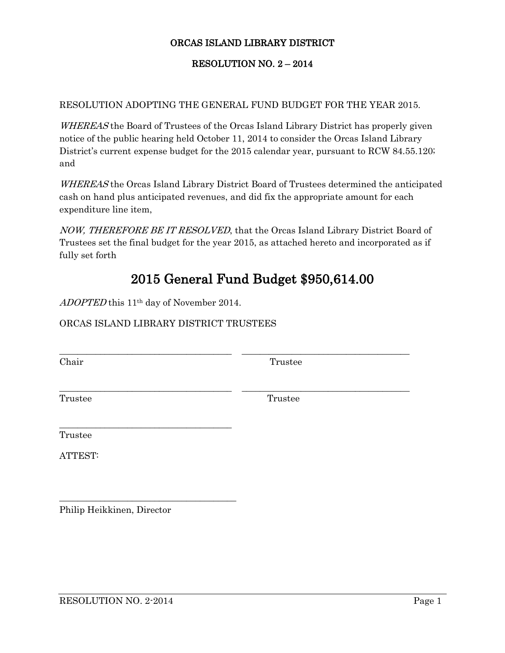## ORCAS ISLAND LIBRARY DISTRICT

## RESOLUTION NO. 2 – 2014

## RESOLUTION ADOPTING THE GENERAL FUND BUDGET FOR THE YEAR 2015.

WHEREAS the Board of Trustees of the Orcas Island Library District has properly given notice of the public hearing held October 11, 2014 to consider the Orcas Island Library District's current expense budget for the 2015 calendar year, pursuant to RCW 84.55.120; and

WHEREAS the Orcas Island Library District Board of Trustees determined the anticipated cash on hand plus anticipated revenues, and did fix the appropriate amount for each expenditure line item,

NOW, THEREFORE BE IT RESOLVED, that the Orcas Island Library District Board of Trustees set the final budget for the year 2015, as attached hereto and incorporated as if fully set forth

\_\_\_\_\_\_\_\_\_\_\_\_\_\_\_\_\_\_\_\_\_\_\_\_\_\_\_\_\_\_\_\_\_\_\_\_\_\_ \_\_\_\_\_\_\_\_\_\_\_\_\_\_\_\_\_\_\_\_\_\_\_\_\_\_\_\_\_\_\_\_\_\_\_\_\_

\_\_\_\_\_\_\_\_\_\_\_\_\_\_\_\_\_\_\_\_\_\_\_\_\_\_\_\_\_\_\_\_\_\_\_\_\_\_ \_\_\_\_\_\_\_\_\_\_\_\_\_\_\_\_\_\_\_\_\_\_\_\_\_\_\_\_\_\_\_\_\_\_\_\_\_

## 2015 General Fund Budget \$950,614.00

ADOPTED this 11<sup>th</sup> day of November 2014.

\_\_\_\_\_\_\_\_\_\_\_\_\_\_\_\_\_\_\_\_\_\_\_\_\_\_\_\_\_\_\_\_\_\_\_\_\_\_

\_\_\_\_\_\_\_\_\_\_\_\_\_\_\_\_\_\_\_\_\_\_\_\_\_\_\_\_\_\_\_\_\_\_\_\_\_\_\_

ORCAS ISLAND LIBRARY DISTRICT TRUSTEES

Chair Trustee

Trustee Trustee

Trustee

ATTEST:

Philip Heikkinen, Director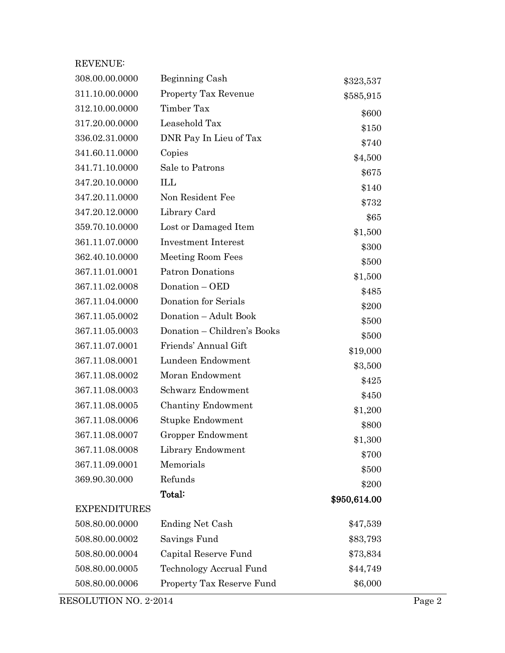| <b>REVENUE:</b>     |                             |              |
|---------------------|-----------------------------|--------------|
| 308.00.00.0000      | Beginning Cash              | \$323,537    |
| 311.10.00.0000      | <b>Property Tax Revenue</b> | \$585,915    |
| 312.10.00.0000      | Timber Tax                  | \$600        |
| 317.20.00.0000      | Leasehold Tax               | \$150        |
| 336.02.31.0000      | DNR Pay In Lieu of Tax      | \$740        |
| 341.60.11.0000      | Copies                      | \$4,500      |
| 341.71.10.0000      | Sale to Patrons             | \$675        |
| 347.20.10.0000      | ILL                         | \$140        |
| 347.20.11.0000      | Non Resident Fee            | \$732        |
| 347.20.12.0000      | Library Card                | \$65         |
| 359.70.10.0000      | Lost or Damaged Item        | \$1,500      |
| 361.11.07.0000      | <b>Investment Interest</b>  | \$300        |
| 362.40.10.0000      | Meeting Room Fees           | \$500        |
| 367.11.01.0001      | <b>Patron Donations</b>     | \$1,500      |
| 367.11.02.0008      | Donation - OED              | \$485        |
| 367.11.04.0000      | Donation for Serials        | \$200        |
| 367.11.05.0002      | Donation - Adult Book       | \$500        |
| 367.11.05.0003      | Donation – Children's Books | \$500        |
| 367.11.07.0001      | Friends' Annual Gift        | \$19,000     |
| 367.11.08.0001      | Lundeen Endowment           | \$3,500      |
| 367.11.08.0002      | Moran Endowment             | \$425        |
| 367.11.08.0003      | Schwarz Endowment           | \$450        |
| 367.11.08.0005      | Chantiny Endowment          | \$1,200      |
| 367.11.08.0006      | Stupke Endowment            | \$800        |
| 367.11.08.0007      | Gropper Endowment           | \$1,300      |
| 367.11.08.0008      | Library Endowment           | \$700        |
| 367.11.09.0001      | Memorials                   | \$500        |
| 369.90.30.000       | Refunds                     | \$200        |
|                     | Total:                      | \$950,614.00 |
| <b>EXPENDITURES</b> |                             |              |
| 508.80.00.0000      | <b>Ending Net Cash</b>      | \$47,539     |
| 508.80.00.0002      | Savings Fund                | \$83,793     |
| 508.80.00.0004      | Capital Reserve Fund        | \$73,834     |
| 508.80.00.0005      | Technology Accrual Fund     | \$44,749     |
| 508.80.00.0006      | Property Tax Reserve Fund   | \$6,000      |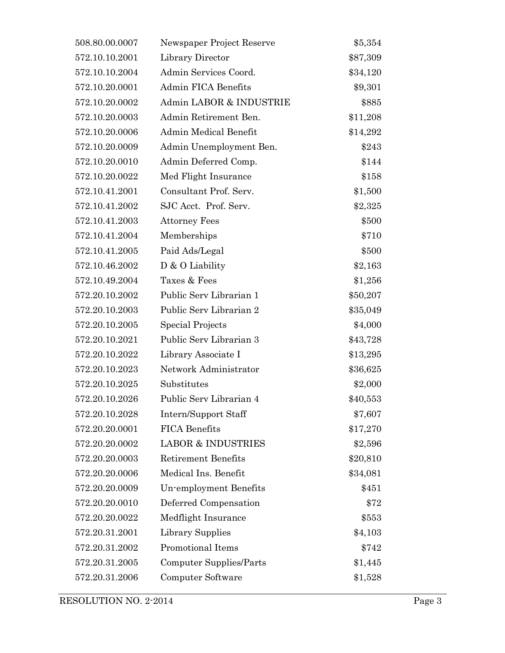| 508.80.00.0007 | Newspaper Project Reserve     | \$5,354  |
|----------------|-------------------------------|----------|
| 572.10.10.2001 | Library Director              | \$87,309 |
| 572.10.10.2004 | Admin Services Coord.         | \$34,120 |
| 572.10.20.0001 | <b>Admin FICA Benefits</b>    | \$9,301  |
| 572.10.20.0002 | Admin LABOR & INDUSTRIE       | \$885    |
| 572.10.20.0003 | Admin Retirement Ben.         | \$11,208 |
| 572.10.20.0006 | Admin Medical Benefit         | \$14,292 |
| 572.10.20.0009 | Admin Unemployment Ben.       | \$243    |
| 572.10.20.0010 | Admin Deferred Comp.          | \$144    |
| 572.10.20.0022 | Med Flight Insurance          | \$158    |
| 572.10.41.2001 | Consultant Prof. Serv.        | \$1,500  |
| 572.10.41.2002 | SJC Acct. Prof. Serv.         | \$2,325  |
| 572.10.41.2003 | <b>Attorney Fees</b>          | \$500    |
| 572.10.41.2004 | Memberships                   | \$710    |
| 572.10.41.2005 | Paid Ads/Legal                | \$500    |
| 572.10.46.2002 | D & O Liability               | \$2,163  |
| 572.10.49.2004 | Taxes & Fees                  | \$1,256  |
| 572.20.10.2002 | Public Serv Librarian 1       | \$50,207 |
| 572.20.10.2003 | Public Serv Librarian 2       | \$35,049 |
| 572.20.10.2005 | Special Projects              | \$4,000  |
| 572.20.10.2021 | Public Serv Librarian 3       | \$43,728 |
| 572.20.10.2022 | Library Associate I           | \$13,295 |
| 572.20.10.2023 | Network Administrator         | \$36,625 |
| 572.20.10.2025 | Substitutes                   | \$2,000  |
| 572.20.10.2026 | Public Serv Librarian 4       | \$40,553 |
| 572.20.10.2028 | Intern/Support Staff          | \$7,607  |
| 572.20.20.0001 | <b>FICA Benefits</b>          | \$17,270 |
| 572.20.20.0002 | <b>LABOR &amp; INDUSTRIES</b> | \$2,596  |
| 572.20.20.0003 | <b>Retirement Benefits</b>    | \$20,810 |
| 572.20.20.0006 | Medical Ins. Benefit          | \$34,081 |
| 572.20.20.0009 | Un-employment Benefits        | \$451    |
| 572.20.20.0010 | Deferred Compensation         | \$72     |
| 572.20.20.0022 | Medflight Insurance           | \$553    |
| 572.20.31.2001 | Library Supplies              | \$4,103  |
| 572.20.31.2002 | Promotional Items             | \$742    |
| 572.20.31.2005 | Computer Supplies/Parts       | \$1,445  |
| 572.20.31.2006 | Computer Software             | \$1,528  |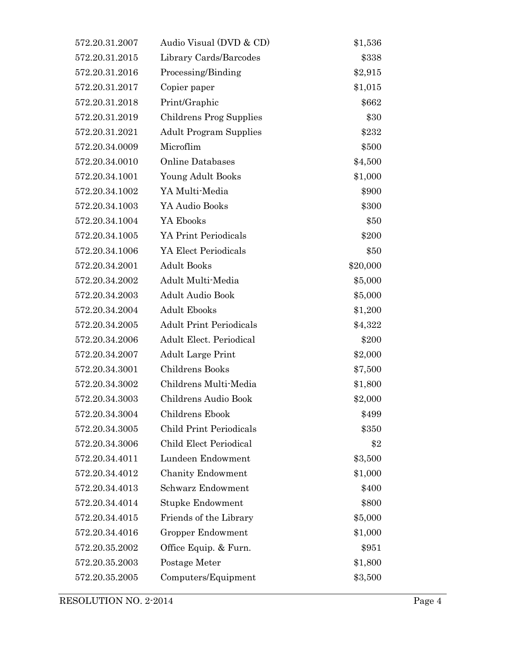| 572.20.31.2007 | Audio Visual (DVD & CD)        | \$1,536  |
|----------------|--------------------------------|----------|
| 572.20.31.2015 | Library Cards/Barcodes         | \$338    |
| 572.20.31.2016 | Processing/Binding             | \$2,915  |
| 572.20.31.2017 | Copier paper                   | \$1,015  |
| 572.20.31.2018 | Print/Graphic                  | \$662    |
| 572.20.31.2019 | Childrens Prog Supplies        | \$30     |
| 572.20.31.2021 | <b>Adult Program Supplies</b>  | \$232    |
| 572.20.34.0009 | Microflim                      | \$500    |
| 572.20.34.0010 | Online Databases               | \$4,500  |
| 572.20.34.1001 | Young Adult Books              | \$1,000  |
| 572.20.34.1002 | YA Multi-Media                 | \$900    |
| 572.20.34.1003 | YA Audio Books                 | \$300    |
| 572.20.34.1004 | YA Ebooks                      | \$50     |
| 572.20.34.1005 | YA Print Periodicals           | \$200    |
| 572.20.34.1006 | YA Elect Periodicals           | \$50     |
| 572.20.34.2001 | <b>Adult Books</b>             | \$20,000 |
| 572.20.34.2002 | Adult Multi-Media              | \$5,000  |
| 572.20.34.2003 | <b>Adult Audio Book</b>        | \$5,000  |
| 572.20.34.2004 | <b>Adult Ebooks</b>            | \$1,200  |
| 572.20.34.2005 | <b>Adult Print Periodicals</b> | \$4,322  |
| 572.20.34.2006 | <b>Adult Elect. Periodical</b> | \$200    |
| 572.20.34.2007 | <b>Adult Large Print</b>       | \$2,000  |
| 572.20.34.3001 | Childrens Books                | \$7,500  |
| 572.20.34.3002 | Childrens Multi-Media          | \$1,800  |
| 572.20.34.3003 | Childrens Audio Book           | \$2,000  |
| 572.20.34.3004 | Childrens Ebook                | \$499    |
| 572.20.34.3005 | <b>Child Print Periodicals</b> | \$350    |
| 572.20.34.3006 | Child Elect Periodical         | \$2      |
| 572.20.34.4011 | Lundeen Endowment              | \$3,500  |
| 572.20.34.4012 | <b>Chanity Endowment</b>       | \$1,000  |
| 572.20.34.4013 | Schwarz Endowment              | \$400    |
| 572.20.34.4014 | <b>Stupke Endowment</b>        | \$800    |
| 572.20.34.4015 | Friends of the Library         | \$5,000  |
| 572.20.34.4016 | Gropper Endowment              | \$1,000  |
| 572.20.35.2002 | Office Equip. & Furn.          | \$951    |
| 572.20.35.2003 | Postage Meter                  | \$1,800  |
| 572.20.35.2005 | Computers/Equipment            | \$3,500  |